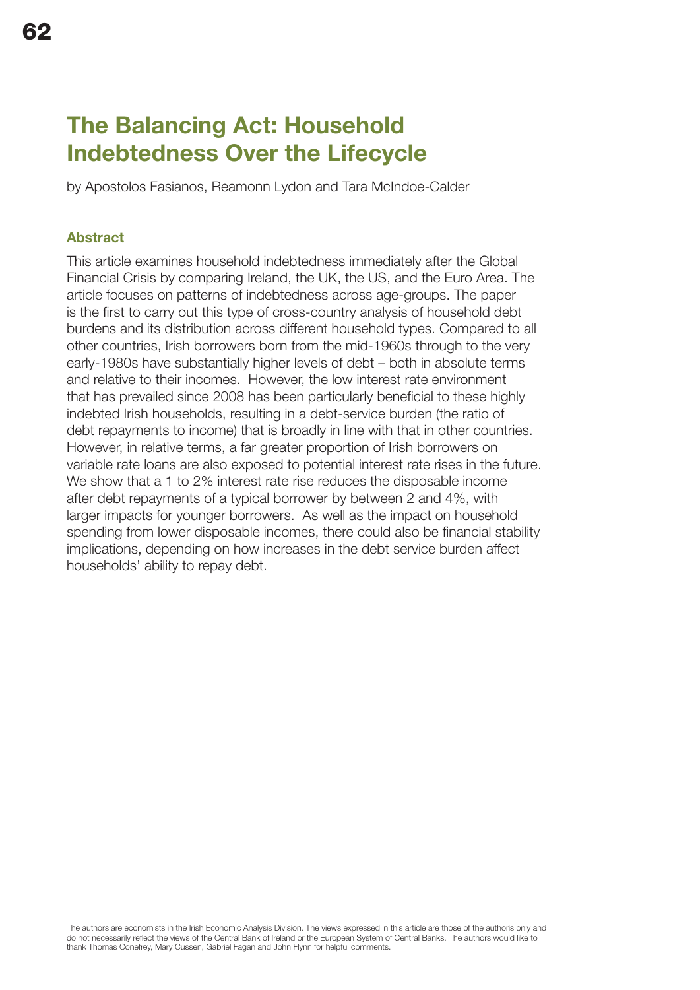# The Balancing Act: Household Indebtedness Over the Lifecycle

by Apostolos Fasianos, Reamonn Lydon and Tara McIndoe-Calder

# Abstract

This article examines household indebtedness immediately after the Global Financial Crisis by comparing Ireland, the UK, the US, and the Euro Area. The article focuses on patterns of indebtedness across age-groups. The paper is the first to carry out this type of cross-country analysis of household debt burdens and its distribution across different household types. Compared to all other countries, Irish borrowers born from the mid-1960s through to the very early-1980s have substantially higher levels of debt – both in absolute terms and relative to their incomes. However, the low interest rate environment that has prevailed since 2008 has been particularly beneficial to these highly indebted Irish households, resulting in a debt-service burden (the ratio of debt repayments to income) that is broadly in line with that in other countries. However, in relative terms, a far greater proportion of Irish borrowers on variable rate loans are also exposed to potential interest rate rises in the future. We show that a 1 to 2% interest rate rise reduces the disposable income after debt repayments of a typical borrower by between 2 and 4%, with larger impacts for younger borrowers. As well as the impact on household spending from lower disposable incomes, there could also be financial stability implications, depending on how increases in the debt service burden affect households' ability to repay debt.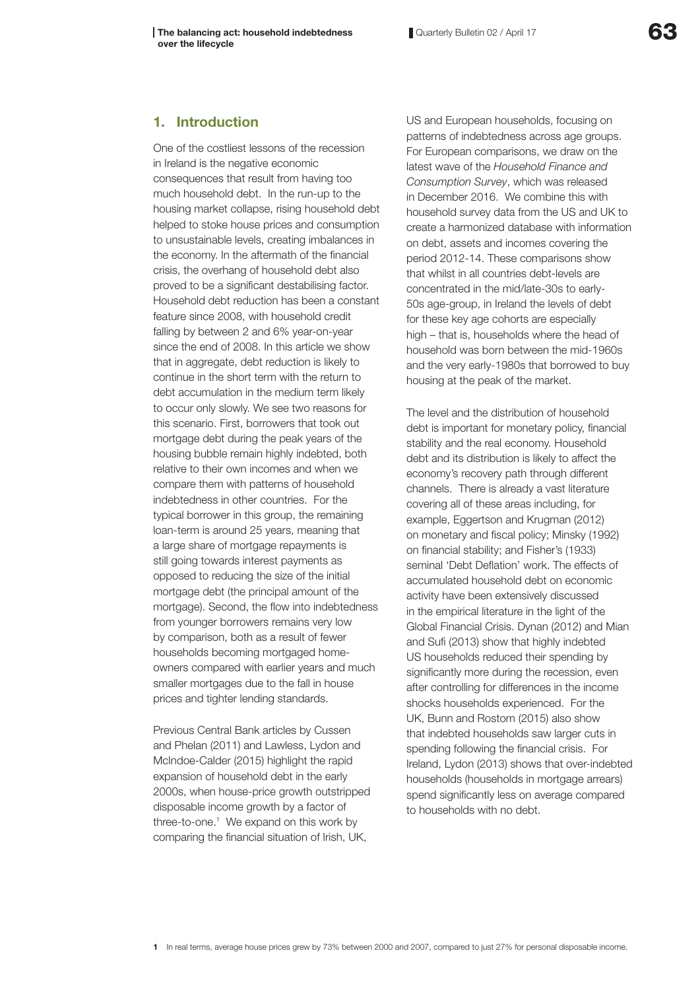# 1. Introduction

One of the costliest lessons of the recession in Ireland is the negative economic consequences that result from having too much household debt. In the run-up to the housing market collapse, rising household debt helped to stoke house prices and consumption to unsustainable levels, creating imbalances in the economy. In the aftermath of the financial crisis, the overhang of household debt also proved to be a significant destabilising factor. Household debt reduction has been a constant feature since 2008, with household credit falling by between 2 and 6% year-on-year since the end of 2008. In this article we show that in aggregate, debt reduction is likely to continue in the short term with the return to debt accumulation in the medium term likely to occur only slowly. We see two reasons for this scenario. First, borrowers that took out mortgage debt during the peak years of the housing bubble remain highly indebted, both relative to their own incomes and when we compare them with patterns of household indebtedness in other countries. For the typical borrower in this group, the remaining loan-term is around 25 years, meaning that a large share of mortgage repayments is still going towards interest payments as opposed to reducing the size of the initial mortgage debt (the principal amount of the mortgage). Second, the flow into indebtedness from younger borrowers remains very low by comparison, both as a result of fewer households becoming mortgaged homeowners compared with earlier years and much smaller mortgages due to the fall in house prices and tighter lending standards.

Previous Central Bank articles by Cussen and Phelan (2011) and Lawless, Lydon and McIndoe-Calder (2015) highlight the rapid expansion of household debt in the early 2000s, when house-price growth outstripped disposable income growth by a factor of three-to-one.<sup>1</sup> We expand on this work by comparing the financial situation of Irish, UK,

US and European households, focusing on patterns of indebtedness across age groups. For European comparisons, we draw on the latest wave of the *Household Finance and Consumption Survey*, which was released in December 2016. We combine this with household survey data from the US and UK to create a harmonized database with information on debt, assets and incomes covering the period 2012-14. These comparisons show that whilst in all countries debt-levels are concentrated in the mid/late-30s to early-50s age-group, in Ireland the levels of debt for these key age cohorts are especially high – that is, households where the head of household was born between the mid-1960s and the very early-1980s that borrowed to buy housing at the peak of the market.

The level and the distribution of household debt is important for monetary policy, financial stability and the real economy. Household debt and its distribution is likely to affect the economy's recovery path through different channels. There is already a vast literature covering all of these areas including, for example, Eggertson and Krugman (2012) on monetary and fiscal policy; Minsky (1992) on financial stability; and Fisher's (1933) seminal 'Debt Deflation' work. The effects of accumulated household debt on economic activity have been extensively discussed in the empirical literature in the light of the Global Financial Crisis. Dynan (2012) and Mian and Sufi (2013) show that highly indebted US households reduced their spending by significantly more during the recession, even after controlling for differences in the income shocks households experienced. For the UK, Bunn and Rostom (2015) also show that indebted households saw larger cuts in spending following the financial crisis. For Ireland, Lydon (2013) shows that over-indebted households (households in mortgage arrears) spend significantly less on average compared to households with no debt.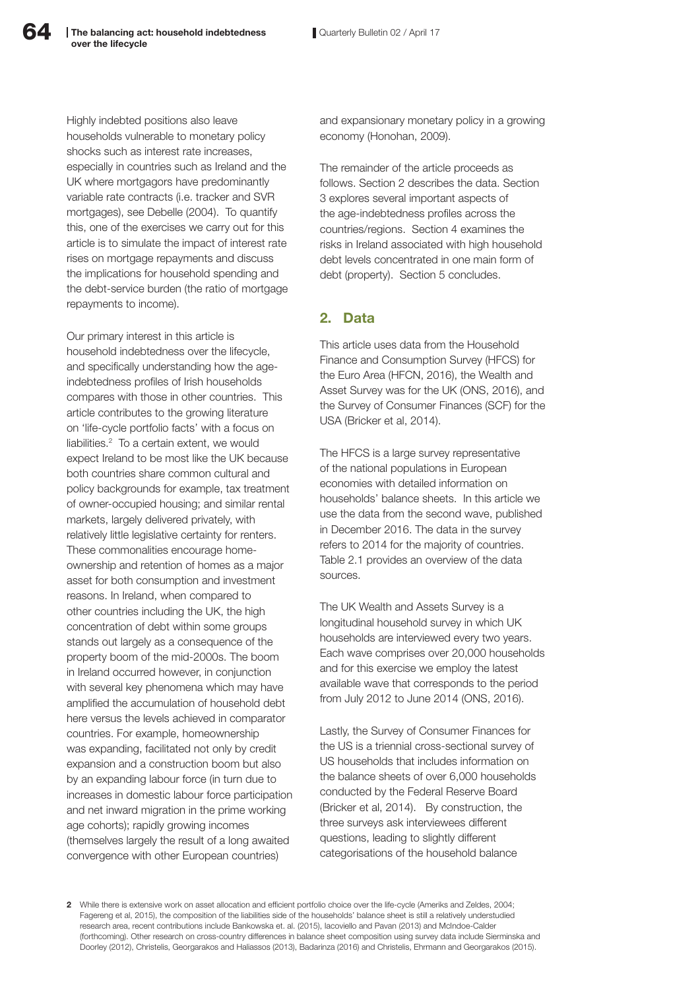Highly indebted positions also leave households vulnerable to monetary policy shocks such as interest rate increases, especially in countries such as Ireland and the UK where mortgagors have predominantly variable rate contracts (i.e. tracker and SVR mortgages), see Debelle (2004). To quantify this, one of the exercises we carry out for this article is to simulate the impact of interest rate rises on mortgage repayments and discuss the implications for household spending and the debt-service burden (the ratio of mortgage repayments to income).

Our primary interest in this article is household indebtedness over the lifecycle, and specifically understanding how the ageindebtedness profiles of Irish households compares with those in other countries. This article contributes to the growing literature on 'life-cycle portfolio facts' with a focus on liabilities.2 To a certain extent, we would expect Ireland to be most like the UK because both countries share common cultural and policy backgrounds for example, tax treatment of owner-occupied housing; and similar rental markets, largely delivered privately, with relatively little legislative certainty for renters. These commonalities encourage homeownership and retention of homes as a major asset for both consumption and investment reasons. In Ireland, when compared to other countries including the UK, the high concentration of debt within some groups stands out largely as a consequence of the property boom of the mid-2000s. The boom in Ireland occurred however, in conjunction with several key phenomena which may have amplified the accumulation of household debt here versus the levels achieved in comparator countries. For example, homeownership was expanding, facilitated not only by credit expansion and a construction boom but also by an expanding labour force (in turn due to increases in domestic labour force participation and net inward migration in the prime working age cohorts); rapidly growing incomes (themselves largely the result of a long awaited convergence with other European countries)

and expansionary monetary policy in a growing economy (Honohan, 2009).

The remainder of the article proceeds as follows. Section 2 describes the data. Section 3 explores several important aspects of the age-indebtedness profiles across the countries/regions. Section 4 examines the risks in Ireland associated with high household debt levels concentrated in one main form of debt (property). Section 5 concludes.

# 2. Data

This article uses data from the Household Finance and Consumption Survey (HFCS) for the Euro Area (HFCN, 2016), the Wealth and Asset Survey was for the UK (ONS, 2016), and the Survey of Consumer Finances (SCF) for the USA (Bricker et al, 2014).

The HFCS is a large survey representative of the national populations in European economies with detailed information on households' balance sheets. In this article we use the data from the second wave, published in December 2016. The data in the survey refers to 2014 for the majority of countries. Table 2.1 provides an overview of the data sources.

The UK Wealth and Assets Survey is a longitudinal household survey in which UK households are interviewed every two years. Each wave comprises over 20,000 households and for this exercise we employ the latest available wave that corresponds to the period from July 2012 to June 2014 (ONS, 2016).

Lastly, the Survey of Consumer Finances for the US is a triennial cross-sectional survey of US households that includes information on the balance sheets of over 6,000 households conducted by the Federal Reserve Board (Bricker et al, 2014). By construction, the three surveys ask interviewees different questions, leading to slightly different categorisations of the household balance

2 While there is extensive work on asset allocation and efficient portfolio choice over the life-cycle (Ameriks and Zeldes, 2004; Fagereng et al, 2015), the composition of the liabilities side of the households' balance sheet is still a relatively understudied research area, recent contributions include Bankowska et. al. (2015), Iacoviello and Pavan (2013) and McIndoe-Calder (forthcoming). Other research on cross-country differences in balance sheet composition using survey data include Sierminska and Doorley (2012), Christelis, Georgarakos and Haliassos (2013), Badarinza (2016) and Christelis, Ehrmann and Georgarakos (2015).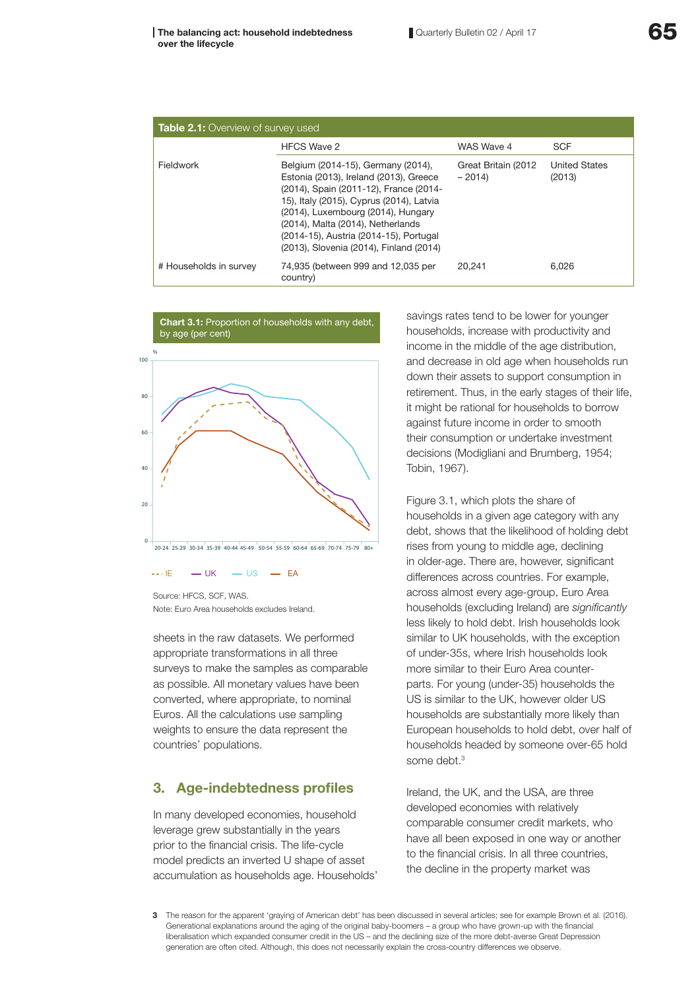| <b>Table 2.1:</b> Overview of survey used |                                                                                                                                                                                                                                                                                                                                    |                                 |                                |  |  |
|-------------------------------------------|------------------------------------------------------------------------------------------------------------------------------------------------------------------------------------------------------------------------------------------------------------------------------------------------------------------------------------|---------------------------------|--------------------------------|--|--|
|                                           | <b>HFCS Wave 2</b>                                                                                                                                                                                                                                                                                                                 | WAS Wave 4                      | <b>SCF</b>                     |  |  |
| Fieldwork                                 | Belgium (2014-15), Germany (2014),<br>Estonia (2013), Ireland (2013), Greece<br>(2014), Spain (2011-12), France (2014-<br>15), Italy (2015), Cyprus (2014), Latvia<br>(2014), Luxembourg (2014), Hungary<br>(2014), Malta (2014), Netherlands<br>(2014-15), Austria (2014-15), Portugal<br>(2013), Slovenia (2014), Finland (2014) | Great Britain (2012)<br>$-2014$ | <b>United States</b><br>(2013) |  |  |
| # Households in survey                    | 74,935 (between 999 and 12,035 per<br>country)                                                                                                                                                                                                                                                                                     | 20.241                          | 6,026                          |  |  |



Source: HECS, SCE, WAS. Note: Euro Area households excludes Ireland.

sheets in the raw datasets. We performed appropriate transformations in all three surveys to make the samples as comparable as possible. All monetary values have been converted, where appropriate, to nominal Euros. All the calculations use sampling weights to ensure the data represent the countries' populations.

# 3. Age-indebtedness profiles

In many developed economies, household leverage grew substantially in the years prior to the financial crisis. The life-cycle model predicts an inverted U shape of asset accumulation as households age. Households' savings rates tend to be lower for younger households, increase with productivity and income in the middle of the age distribution, and decrease in old age when households run down their assets to support consumption in retirement. Thus, in the early stages of their life, it might be rational for households to borrow against future income in order to smooth their consumption or undertake investment decisions (Modigliani and Brumberg, 1954; Tobin, 1967).

Figure 3.1, which plots the share of households in a given age category with any debt, shows that the likelihood of holding debt rises from young to middle age, declining in older-age. There are, however, significant differences across countries. For example, across almost every age-group, Euro Area households (excluding Ireland) are *significantly* less likely to hold debt. Irish households look similar to UK households, with the exception of under-35s, where Irish households look more similar to their Euro Area counterparts. For young (under-35) households the US is similar to the UK, however older US households are substantially more likely than European households to hold debt, over half of households headed by someone over-65 hold some debt.<sup>3</sup>

Ireland, the UK, and the USA, are three developed economies with relatively comparable consumer credit markets, who have all been exposed in one way or another to the financial crisis. In all three countries, the decline in the property market was

<sup>3</sup> The reason for the apparent 'graying of American debt' has been discussed in several articles; see for example Brown et al. (2016). Generational explanations around the aging of the original baby-boomers – a group who have grown-up with the financial liberalisation which expanded consumer credit in the US – and the declining size of the more debt-averse Great Depression generation are often cited. Although, this does not necessarily explain the cross-country differences we observe.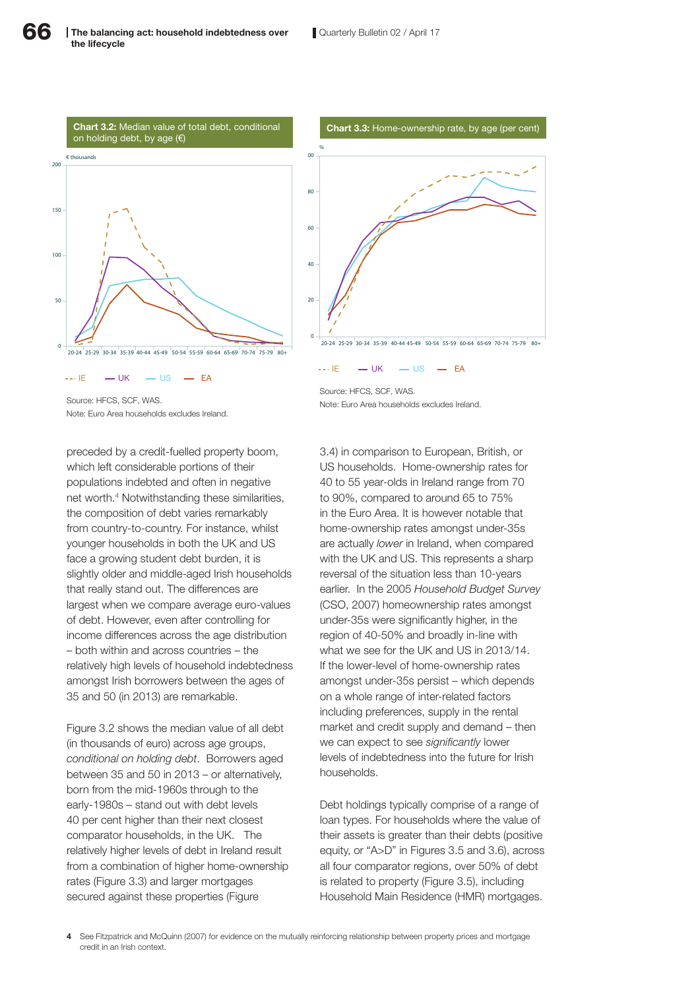



Source: HECS, SCE, WAS.

 $I = \frac{1}{2}$  UK  $I = \frac{1}{2}$  EA

Note: Euro Area households excludes Ireland.

preceded by a credit-fuelled property boom, which left considerable portions of their populations indebted and often in negative net worth.4 Notwithstanding these similarities, the composition of debt varies remarkably from country-to-country. For instance, whilst younger households in both the UK and US face a growing student debt burden, it is slightly older and middle-aged Irish households that really stand out. The differences are largest when we compare average euro-values of debt. However, even after controlling for income differences across the age distribution – both within and across countries – the relatively high levels of household indebtedness amongst Irish borrowers between the ages of 35 and 50 (in 2013) are remarkable.

Figure 3.2 shows the median value of all debt (in thousands of euro) across age groups, *conditional on holding debt*. Borrowers aged between 35 and 50 in 2013 – or alternatively, born from the mid-1960s through to the early-1980s – stand out with debt levels 40 per cent higher than their next closest comparator households, in the UK. The relatively higher levels of debt in Ireland result from a combination of higher home-ownership rates (Figure 3.3) and larger mortgages secured against these properties (Figure

Source: HECS, SCE, WAS. Note: Euro Area households excludes Ireland.

 $\cdot \cdot$  IE  $\cdot \cdot$  UK  $\cdot \cdot$  US  $\cdot \cdot$  EA

3.4) in comparison to European, British, or US households. Home-ownership rates for 40 to 55 year-olds in Ireland range from 70 to 90%, compared to around 65 to 75% in the Euro Area. It is however notable that home-ownership rates amongst under-35s are actually *lower* in Ireland, when compared with the UK and US. This represents a sharp reversal of the situation less than 10-years earlier. In the 2005 *Household Budget Survey* (CSO, 2007) homeownership rates amongst under-35s were significantly higher, in the region of 40-50% and broadly in-line with what we see for the UK and US in 2013/14. If the lower-level of home-ownership rates amongst under-35s persist – which depends on a whole range of inter-related factors including preferences, supply in the rental market and credit supply and demand – then we can expect to see *significantly* lower levels of indebtedness into the future for Irish households.

Debt holdings typically comprise of a range of loan types. For households where the value of their assets is greater than their debts (positive equity, or "A>D" in Figures 3.5 and 3.6), across all four comparator regions, over 50% of debt is related to property (Figure 3.5), including Household Main Residence (HMR) mortgages.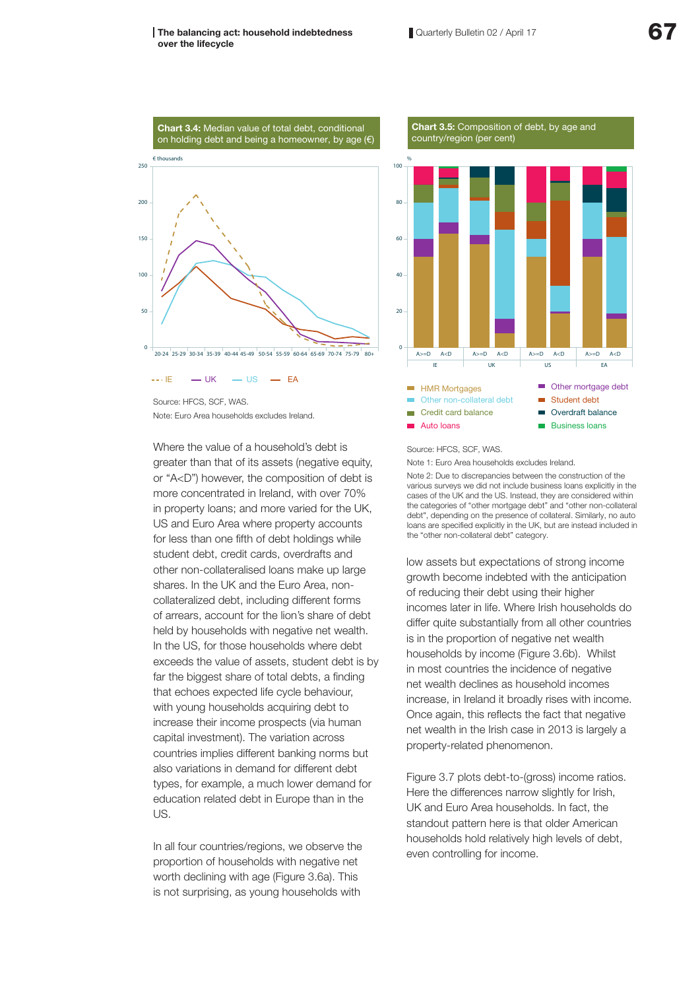#### The balancing act: household indebtedness over the lifecycle



Source: HFCS, SCF, WAS. Note: Euro Area households excludes Ireland.

Where the value of a household's debt is greater than that of its assets (negative equity, or "A<D") however, the composition of debt is more concentrated in Ireland, with over 70% in property loans; and more varied for the UK, US and Euro Area where property accounts for less than one fifth of debt holdings while student debt, credit cards, overdrafts and other non-collateralised loans make up large shares. In the UK and the Euro Area, noncollateralized debt, including different forms of arrears, account for the lion's share of debt held by households with negative net wealth. In the US, for those households where debt exceeds the value of assets, student debt is by far the biggest share of total debts, a finding that echoes expected life cycle behaviour, with young households acquiring debt to increase their income prospects (via human capital investment). The variation across countries implies different banking norms but also variations in demand for different debt types, for example, a much lower demand for education related debt in Europe than in the US.

In all four countries/regions, we observe the proportion of households with negative net worth declining with age (Figure 3.6a). This is not surprising, as young households with



#### **Chart 3.5:** Composition of debt, by age and country/region (per cent)

#### Source: HFCS, SCF, WAS.

Note 1: Euro Area households excludes Ireland.

Note 2: Due to discrepancies between the construction of the various surveys we did not include business loans explicitly in the cases of the UK and the US. Instead, they are considered within the categories of "other mortgage debt" and "other non-collateral debt", depending on the presence of collateral. Similarly, no auto loans are specified explicitly in the UK, but are instead included in the "other non-collateral debt" category.

low assets but expectations of strong income growth become indebted with the anticipation of reducing their debt using their higher incomes later in life. Where Irish households do differ quite substantially from all other countries is in the proportion of negative net wealth households by income (Figure 3.6b). Whilst in most countries the incidence of negative net wealth declines as household incomes increase, in Ireland it broadly rises with income. Once again, this reflects the fact that negative net wealth in the Irish case in 2013 is largely a property-related phenomenon.

Figure 3.7 plots debt-to-(gross) income ratios. Here the differences narrow slightly for Irish, UK and Euro Area households. In fact, the standout pattern here is that older American households hold relatively high levels of debt, even controlling for income.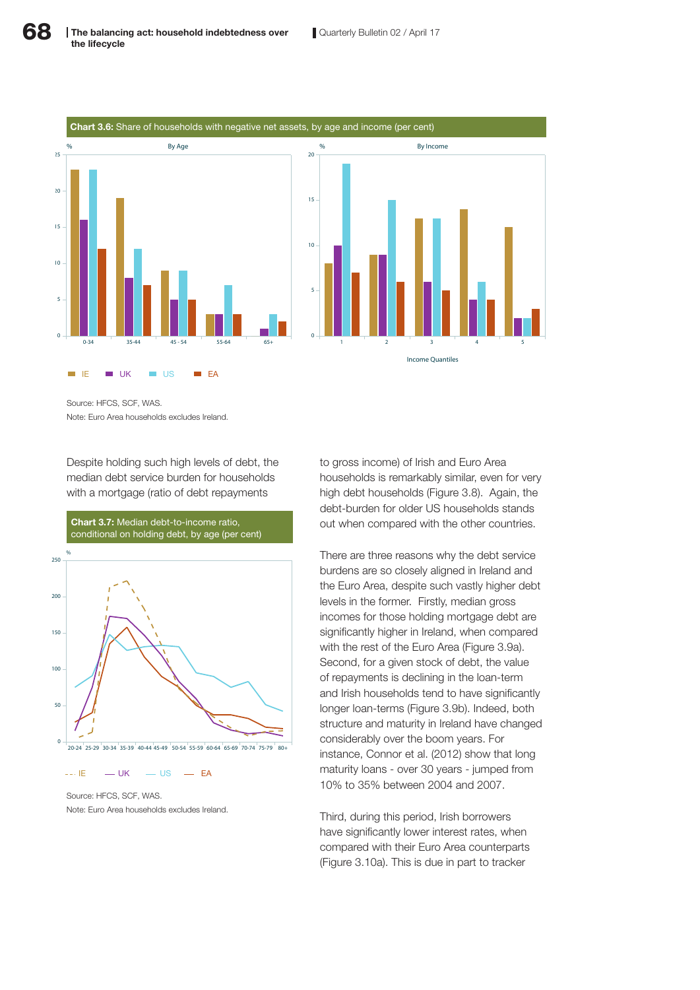

Source: HFCS, SCF, WAS. Note: Euro Area households excludes Ireland.

Despite holding such high levels of debt, the median debt service burden for households with a mortgage (ratio of debt repayments



Source: HFCS, SCF, WAS. Note: Euro Area households excludes Ireland.

to gross income) of Irish and Euro Area households is remarkably similar, even for very high debt households (Figure 3.8). Again, the debt-burden for older US households stands out when compared with the other countries.

There are three reasons why the debt service burdens are so closely aligned in Ireland and the Euro Area, despite such vastly higher debt levels in the former. Firstly, median gross incomes for those holding mortgage debt are significantly higher in Ireland, when compared with the rest of the Euro Area (Figure 3.9a). Second, for a given stock of debt, the value of repayments is declining in the loan-term and Irish households tend to have significantly longer loan-terms (Figure 3.9b). Indeed, both structure and maturity in Ireland have changed considerably over the boom years. For instance, Connor et al. (2012) show that long maturity loans - over 30 years - jumped from 10% to 35% between 2004 and 2007.

Third, during this period, Irish borrowers have significantly lower interest rates, when compared with their Euro Area counterparts (Figure 3.10a). This is due in part to tracker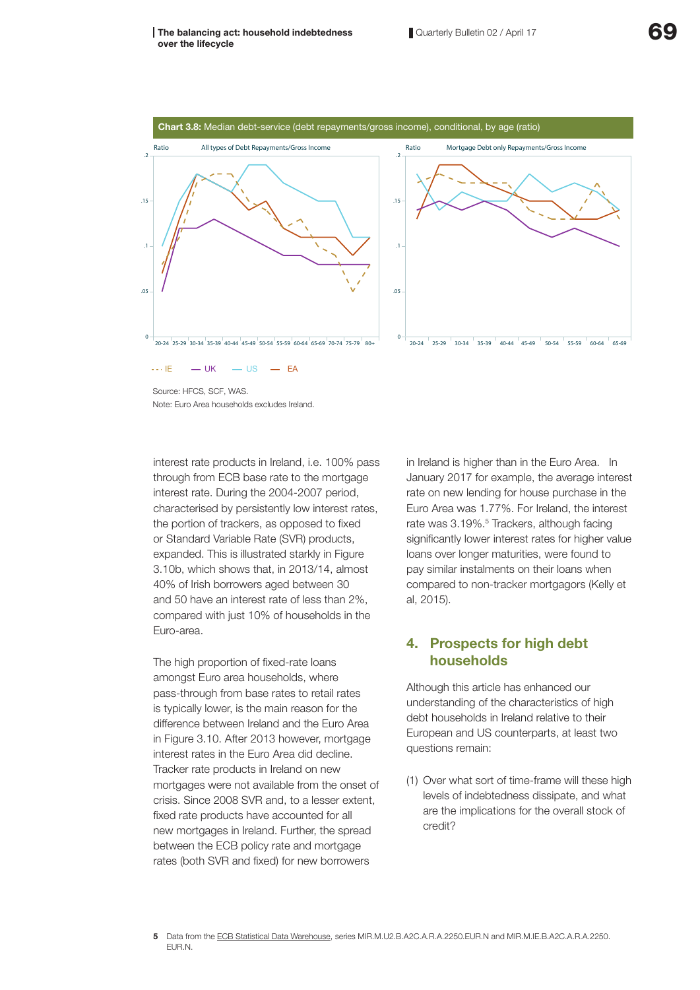#### The balancing act: household indebtedness over the lifecycle



Note: Euro Area households excludes Ireland.

interest rate products in Ireland, i.e. 100% pass through from ECB base rate to the mortgage interest rate. During the 2004-2007 period, characterised by persistently low interest rates, the portion of trackers, as opposed to fixed or Standard Variable Rate (SVR) products, expanded. This is illustrated starkly in Figure 3.10b, which shows that, in 2013/14, almost 40% of Irish borrowers aged between 30 and 50 have an interest rate of less than 2%, compared with just 10% of households in the Euro-area.

The high proportion of fixed-rate loans amongst Euro area households, where pass-through from base rates to retail rates is typically lower, is the main reason for the difference between Ireland and the Euro Area in Figure 3.10. After 2013 however, mortgage interest rates in the Euro Area did decline. Tracker rate products in Ireland on new mortgages were not available from the onset of crisis. Since 2008 SVR and, to a lesser extent, fixed rate products have accounted for all new mortgages in Ireland. Further, the spread between the ECB policy rate and mortgage rates (both SVR and fixed) for new borrowers

in Ireland is higher than in the Euro Area. In January 2017 for example, the average interest rate on new lending for house purchase in the Euro Area was 1.77%. For Ireland, the interest rate was 3.19%.<sup>5</sup> Trackers, although facing significantly lower interest rates for higher value loans over longer maturities, were found to pay similar instalments on their loans when compared to non-tracker mortgagors (Kelly et al, 2015).

# 4. Prospects for high debt households

Although this article has enhanced our understanding of the characteristics of high debt households in Ireland relative to their European and US counterparts, at least two questions remain:

(1) Over what sort of time-frame will these high levels of indebtedness dissipate, and what are the implications for the overall stock of credit?

<sup>5</sup> Data from the ECB Statistical Data Warehouse, series MIR.M.U2.B.A2C.A.R.A.2250.EUR.N and MIR.M.IE.B.A2C.A.R.A.2250. EUR.N.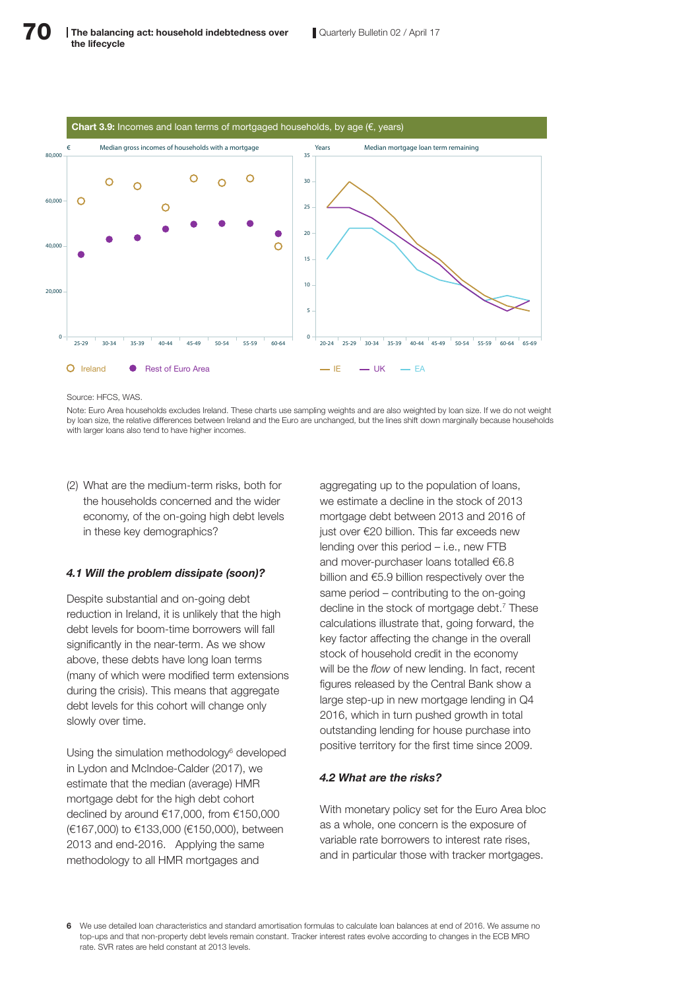

Source: HECS, WAS.

Note: Euro Area households excludes Ireland. These charts use sampling weights and are also weighted by loan size. If we do not weight by loan size, the relative differences between Ireland and the Euro are unchanged, but the lines shift down marginally because households with larger loans also tend to have higher incomes.

(2) What are the medium-term risks, both for the households concerned and the wider economy, of the on-going high debt levels in these key demographics?

#### *4.1 Will the problem dissipate (soon)?*

Despite substantial and on-going debt reduction in Ireland, it is unlikely that the high debt levels for boom-time borrowers will fall significantly in the near-term. As we show above, these debts have long loan terms (many of which were modified term extensions during the crisis). This means that aggregate debt levels for this cohort will change only slowly over time.

Using the simulation methodology<sup>6</sup> developed in Lydon and McIndoe-Calder (2017), we estimate that the median (average) HMR mortgage debt for the high debt cohort declined by around €17,000, from €150,000 (€167,000) to €133,000 (€150,000), between 2013 and end-2016. Applying the same methodology to all HMR mortgages and

aggregating up to the population of loans. we estimate a decline in the stock of 2013 mortgage debt between 2013 and 2016 of just over €20 billion. This far exceeds new lending over this period – i.e., new FTB and mover-purchaser loans totalled €6.8 billion and €5.9 billion respectively over the same period – contributing to the on-going decline in the stock of mortgage debt.<sup>7</sup> These calculations illustrate that, going forward, the key factor affecting the change in the overall stock of household credit in the economy will be the *flow* of new lending. In fact, recent figures released by the Central Bank show a large step-up in new mortgage lending in Q4 2016, which in turn pushed growth in total outstanding lending for house purchase into positive territory for the first time since 2009.

#### *4.2 What are the risks?*

With monetary policy set for the Euro Area bloc as a whole, one concern is the exposure of variable rate borrowers to interest rate rises, and in particular those with tracker mortgages.

6 We use detailed loan characteristics and standard amortisation formulas to calculate loan balances at end of 2016. We assume no top-ups and that non-property debt levels remain constant. Tracker interest rates evolve according to changes in the ECB MRO rate. SVR rates are held constant at 2013 levels.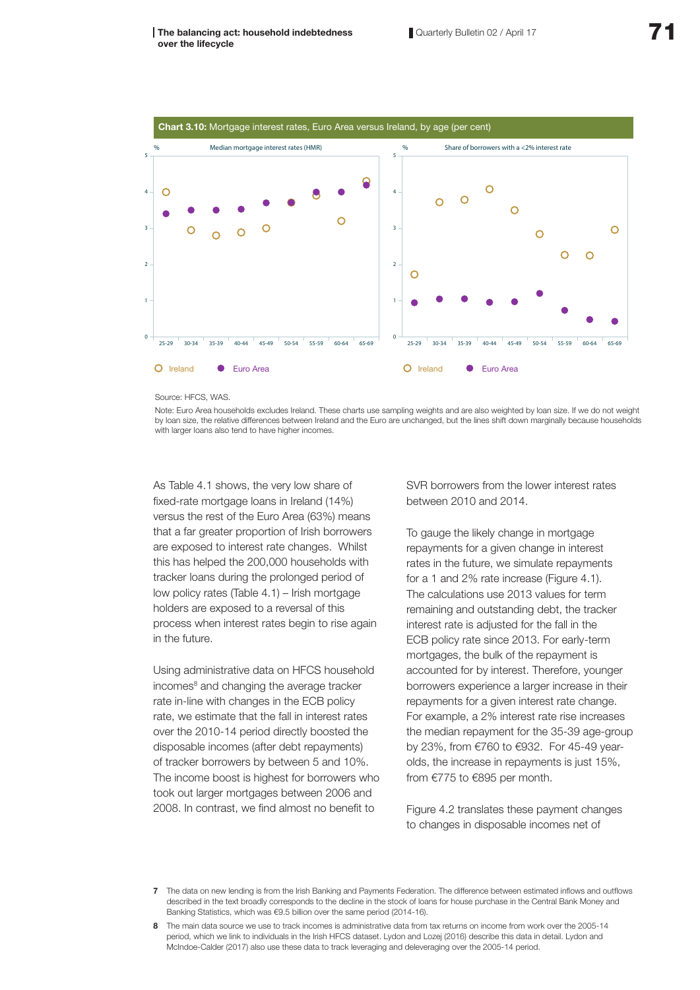



Source: HECS, WAS.

0

1

2

3

4

5

Note: Euro Area households excludes Ireland. These charts use sampling weights and are also weighted by loan size. If we do not weight by loan size, the relative differences between Ireland and the Euro are unchanged, but the lines shift down marginally because households with larger loans also tend to have higher incomes.

As Table 4.1 shows, the very low share of fixed-rate mortgage loans in Ireland (14%) versus the rest of the Euro Area (63%) means that a far greater proportion of Irish borrowers are exposed to interest rate changes. Whilst this has helped the 200,000 households with tracker loans during the prolonged period of low policy rates (Table 4.1) – Irish mortgage holders are exposed to a reversal of this process when interest rates begin to rise again in the future.

Using administrative data on HFCS household incomes<sup>8</sup> and changing the average tracker rate in-line with changes in the ECB policy rate, we estimate that the fall in interest rates over the 2010-14 period directly boosted the disposable incomes (after debt repayments) of tracker borrowers by between 5 and 10%. The income boost is highest for borrowers who took out larger mortgages between 2006 and 2008. In contrast, we find almost no benefit to

SVR borrowers from the lower interest rates between 2010 and 2014.

To gauge the likely change in mortgage repayments for a given change in interest rates in the future, we simulate repayments for a 1 and 2% rate increase (Figure 4.1). The calculations use 2013 values for term remaining and outstanding debt, the tracker interest rate is adjusted for the fall in the ECB policy rate since 2013. For early-term mortgages, the bulk of the repayment is accounted for by interest. Therefore, younger borrowers experience a larger increase in their repayments for a given interest rate change. For example, a 2% interest rate rise increases the median repayment for the 35-39 age-group by 23%, from €760 to €932. For 45-49 yearolds, the increase in repayments is just 15%, from €775 to €895 per month.

Figure 4.2 translates these payment changes to changes in disposable incomes net of

<sup>7</sup> The data on new lending is from the Irish Banking and Payments Federation. The difference between estimated inflows and outflows described in the text broadly corresponds to the decline in the stock of loans for house purchase in the Central Bank Money and Banking Statistics, which was €9.5 billion over the same period (2014-16).

<sup>8</sup> The main data source we use to track incomes is administrative data from tax returns on income from work over the 2005-14 period, which we link to individuals in the Irish HFCS dataset. Lydon and Lozej (2016) describe this data in detail. Lydon and McIndoe-Calder (2017) also use these data to track leveraging and deleveraging over the 2005-14 period.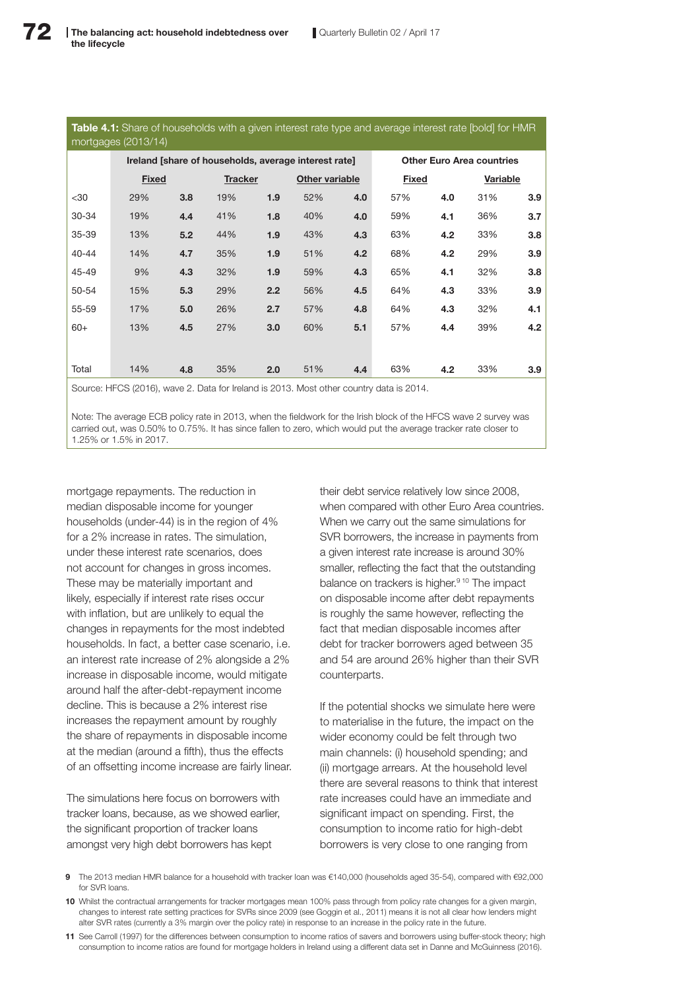| <b>Table 4.1:</b> Share of households with a given interest rate type and average interest rate [bold] for HMR |  |  |
|----------------------------------------------------------------------------------------------------------------|--|--|
| mortgages $(2013/14)$                                                                                          |  |  |

|           | Ireland [share of households, average interest rate] |     |                |     |                | <b>Other Euro Area countries</b> |              |     |          |     |
|-----------|------------------------------------------------------|-----|----------------|-----|----------------|----------------------------------|--------------|-----|----------|-----|
|           | <b>Fixed</b>                                         |     | <b>Tracker</b> |     | Other variable |                                  | <b>Fixed</b> |     | Variable |     |
| $30$      | 29%                                                  | 3.8 | 19%            | 1.9 | 52%            | 4.0                              | 57%          | 4.0 | 31%      | 3.9 |
| 30-34     | 19%                                                  | 4.4 | 41%            | 1.8 | 40%            | 4.0                              | 59%          | 4.1 | 36%      | 3.7 |
| 35-39     | 13%                                                  | 5.2 | 44%            | 1.9 | 43%            | 4.3                              | 63%          | 4.2 | 33%      | 3.8 |
| $40 - 44$ | 14%                                                  | 4.7 | 35%            | 1.9 | 51%            | 4.2                              | 68%          | 4.2 | 29%      | 3.9 |
| 45-49     | 9%                                                   | 4.3 | 32%            | 1.9 | 59%            | 4.3                              | 65%          | 4.1 | 32%      | 3.8 |
| 50-54     | 15%                                                  | 5.3 | 29%            | 2.2 | 56%            | 4.5                              | 64%          | 4.3 | 33%      | 3.9 |
| 55-59     | 17%                                                  | 5.0 | 26%            | 2.7 | 57%            | 4.8                              | 64%          | 4.3 | 32%      | 4.1 |
| $60+$     | 13%                                                  | 4.5 | 27%            | 3.0 | 60%            | 5.1                              | 57%          | 4.4 | 39%      | 4.2 |
|           |                                                      |     |                |     |                |                                  |              |     |          |     |
| Total     | 14%                                                  | 4.8 | 35%            | 2.0 | 51%            | 4.4                              | 63%          | 4.2 | 33%      | 3.9 |
|           |                                                      |     |                |     |                |                                  |              |     |          |     |

Source: HFCS (2016), wave 2. Data for Ireland is 2013. Most other country data is 2014.

Note: The average ECB policy rate in 2013, when the fieldwork for the Irish block of the HFCS wave 2 survey was carried out, was 0.50% to 0.75%. It has since fallen to zero, which would put the average tracker rate closer to 1.25% or 1.5% in 2017.

mortgage repayments. The reduction in median disposable income for younger households (under-44) is in the region of 4% for a 2% increase in rates. The simulation, under these interest rate scenarios, does not account for changes in gross incomes. These may be materially important and likely, especially if interest rate rises occur with inflation, but are unlikely to equal the changes in repayments for the most indebted households. In fact, a better case scenario, i.e. an interest rate increase of 2% alongside a 2% increase in disposable income, would mitigate around half the after-debt-repayment income decline. This is because a 2% interest rise increases the repayment amount by roughly the share of repayments in disposable income at the median (around a fifth), thus the effects of an offsetting income increase are fairly linear.

The simulations here focus on borrowers with tracker loans, because, as we showed earlier, the significant proportion of tracker loans amongst very high debt borrowers has kept

their debt service relatively low since 2008, when compared with other Euro Area countries. When we carry out the same simulations for SVR borrowers, the increase in payments from a given interest rate increase is around 30% smaller, reflecting the fact that the outstanding balance on trackers is higher.<sup>9 10</sup> The impact on disposable income after debt repayments is roughly the same however, reflecting the fact that median disposable incomes after debt for tracker borrowers aged between 35 and 54 are around 26% higher than their SVR counterparts.

If the potential shocks we simulate here were to materialise in the future, the impact on the wider economy could be felt through two main channels: (i) household spending; and (ii) mortgage arrears. At the household level there are several reasons to think that interest rate increases could have an immediate and significant impact on spending. First, the consumption to income ratio for high-debt borrowers is very close to one ranging from

- 9 The 2013 median HMR balance for a household with tracker loan was €140,000 (households aged 35-54), compared with €92,000 for SVR loans.
- 10 Whilst the contractual arrangements for tracker mortgages mean 100% pass through from policy rate changes for a given margin, changes to interest rate setting practices for SVRs since 2009 (see Goggin et al., 2011) means it is not all clear how lenders might alter SVR rates (currently a 3% margin over the policy rate) in response to an increase in the policy rate in the future.
- 11 See Carroll (1997) for the differences between consumption to income ratios of savers and borrowers using buffer-stock theory; high consumption to income ratios are found for mortgage holders in Ireland using a different data set in Danne and McGuinness (2016).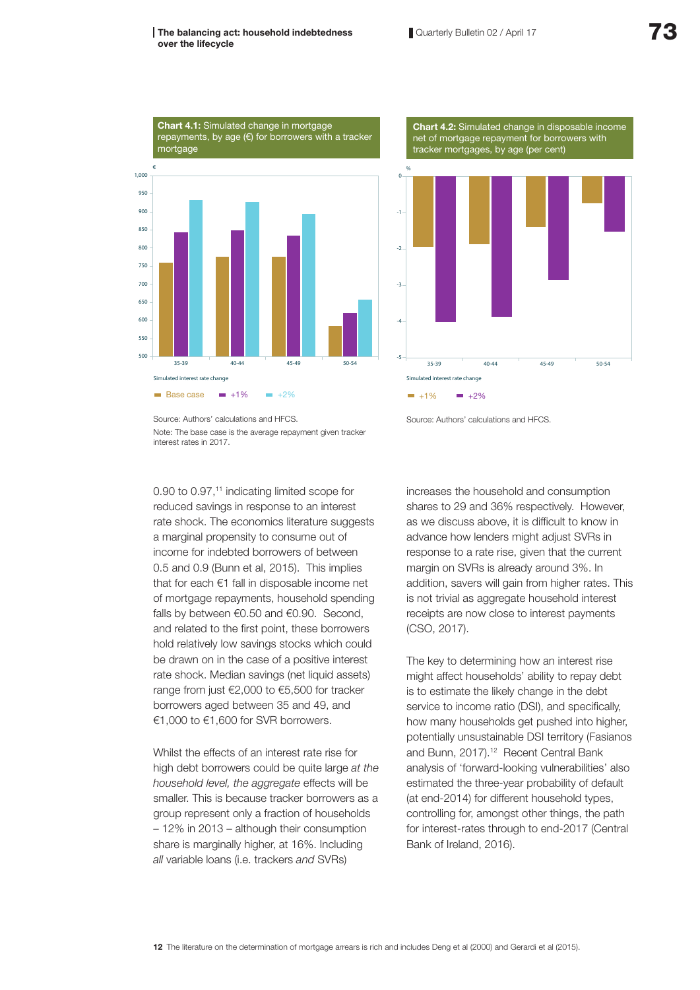#### The balancing act: household indebtedness over the lifecycle





Source: Authors' calculations and HFCS. Note: The base case is the average repayment given tracker interest rates in 2017.

0.90 to 0.97,<sup>11</sup> indicating limited scope for reduced savings in response to an interest rate shock. The economics literature suggests a marginal propensity to consume out of income for indebted borrowers of between 0.5 and 0.9 (Bunn et al, 2015). This implies that for each €1 fall in disposable income net of mortgage repayments, household spending falls by between €0.50 and €0.90. Second, and related to the first point, these borrowers hold relatively low savings stocks which could be drawn on in the case of a positive interest rate shock. Median savings (net liquid assets) range from just €2,000 to €5,500 for tracker borrowers aged between 35 and 49, and €1,000 to €1,600 for SVR borrowers.

Whilst the effects of an interest rate rise for high debt borrowers could be quite large *at the household level, the aggregate* effects will be smaller. This is because tracker borrowers as a group represent only a fraction of households – 12% in 2013 – although their consumption share is marginally higher, at 16%. Including *all* variable loans (i.e. trackers *and* SVRs)

Source: Authors' calculations and HFCS.

increases the household and consumption shares to 29 and 36% respectively. However, as we discuss above, it is difficult to know in advance how lenders might adjust SVRs in response to a rate rise, given that the current margin on SVRs is already around 3%. In addition, savers will gain from higher rates. This is not trivial as aggregate household interest receipts are now close to interest payments (CSO, 2017).

The key to determining how an interest rise might affect households' ability to repay debt is to estimate the likely change in the debt service to income ratio (DSI), and specifically, how many households get pushed into higher, potentially unsustainable DSI territory (Fasianos and Bunn, 2017).12 Recent Central Bank analysis of 'forward-looking vulnerabilities' also estimated the three-year probability of default (at end-2014) for different household types, controlling for, amongst other things, the path for interest-rates through to end-2017 (Central Bank of Ireland, 2016).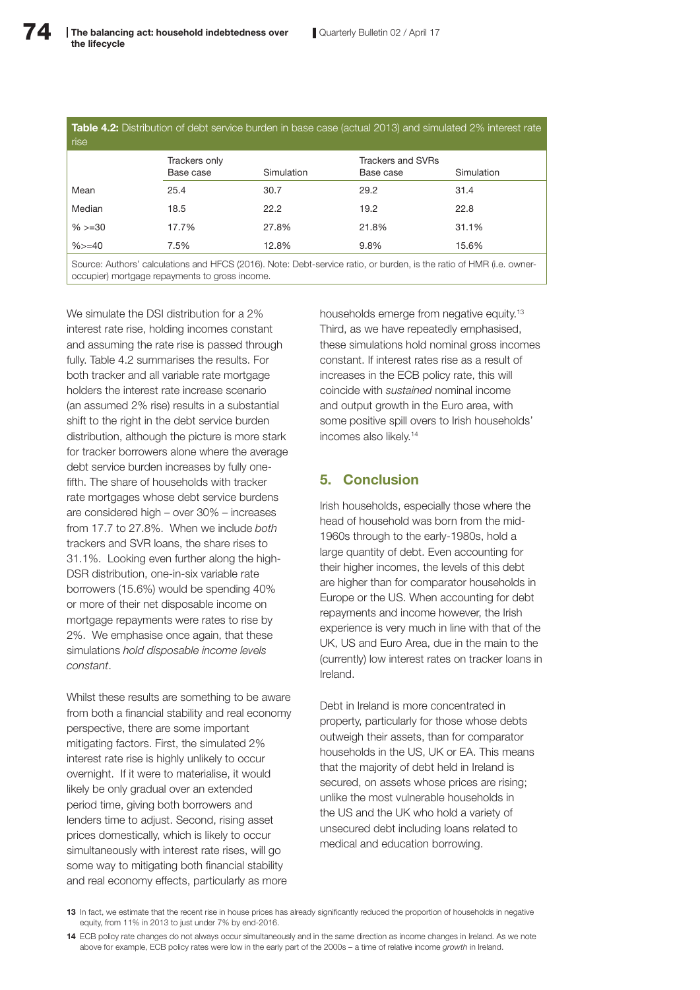| <b>Table 4.2:</b> Distribution of debt service burden in base case (actual 2013) and simulated 2% interest rate<br>rise |                            |            |                                |            |  |  |
|-------------------------------------------------------------------------------------------------------------------------|----------------------------|------------|--------------------------------|------------|--|--|
|                                                                                                                         | Trackers only<br>Base case | Simulation | Trackers and SVRs<br>Base case | Simulation |  |  |
| Mean                                                                                                                    | 25.4                       | 30.7       | 29.2                           | 31.4       |  |  |
| Median                                                                                                                  | 18.5                       | 22.2       | 19.2                           | 22.8       |  |  |
| $%>=30$                                                                                                                 | 17.7%                      | 27.8%      | 21.8%                          | 31.1%      |  |  |
| $%>=40$                                                                                                                 | 7.5%                       | 12.8%      | 9.8%                           | 15.6%      |  |  |
| Course Authors' coloulations and HECO (2016) Note: Dobt convice ratio or burden is the ratio of HMD (i.e. owner         |                            |            |                                |            |  |  |

Source: Authors' calculations and HFCS (2016). Note: Debt-service ratio, or burden, is the ratio of HMR (i.e. owneroccupier) mortgage repayments to gross income.

We simulate the DSI distribution for a 2% interest rate rise, holding incomes constant and assuming the rate rise is passed through fully. Table 4.2 summarises the results. For both tracker and all variable rate mortgage holders the interest rate increase scenario (an assumed 2% rise) results in a substantial shift to the right in the debt service burden distribution, although the picture is more stark for tracker borrowers alone where the average debt service burden increases by fully onefifth. The share of households with tracker rate mortgages whose debt service burdens are considered high – over 30% – increases from 17.7 to 27.8%. When we include *both* trackers and SVR loans, the share rises to 31.1%. Looking even further along the high-DSR distribution, one-in-six variable rate borrowers (15.6%) would be spending 40% or more of their net disposable income on mortgage repayments were rates to rise by 2%. We emphasise once again, that these simulations *hold disposable income levels constant*.

Whilst these results are something to be aware from both a financial stability and real economy perspective, there are some important mitigating factors. First, the simulated 2% interest rate rise is highly unlikely to occur overnight. If it were to materialise, it would likely be only gradual over an extended period time, giving both borrowers and lenders time to adjust. Second, rising asset prices domestically, which is likely to occur simultaneously with interest rate rises, will go some way to mitigating both financial stability and real economy effects, particularly as more

households emerge from negative equity.<sup>13</sup> Third, as we have repeatedly emphasised, these simulations hold nominal gross incomes constant. If interest rates rise as a result of increases in the ECB policy rate, this will coincide with *sustained* nominal income and output growth in the Euro area, with some positive spill overs to Irish households' incomes also likely.14

## 5. Conclusion

Irish households, especially those where the head of household was born from the mid-1960s through to the early-1980s, hold a large quantity of debt. Even accounting for their higher incomes, the levels of this debt are higher than for comparator households in Europe or the US. When accounting for debt repayments and income however, the Irish experience is very much in line with that of the UK, US and Euro Area, due in the main to the (currently) low interest rates on tracker loans in Ireland.

Debt in Ireland is more concentrated in property, particularly for those whose debts outweigh their assets, than for comparator households in the US, UK or EA. This means that the majority of debt held in Ireland is secured, on assets whose prices are rising; unlike the most vulnerable households in the US and the UK who hold a variety of unsecured debt including loans related to medical and education borrowing.

<sup>13</sup> In fact, we estimate that the recent rise in house prices has already significantly reduced the proportion of households in negative equity, from 11% in 2013 to just under 7% by end-2016.

<sup>14</sup> ECB policy rate changes do not always occur simultaneously and in the same direction as income changes in Ireland. As we note above for example, ECB policy rates were low in the early part of the 2000s – a time of relative income *growth* in Ireland.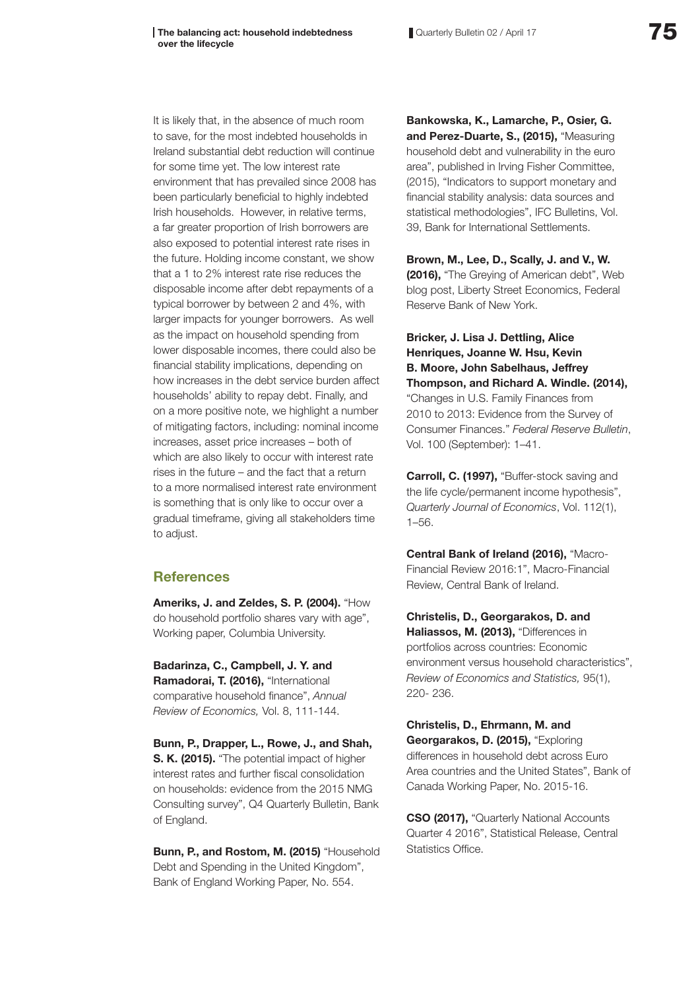Quarterly Bulletin 02 / April 17 **75** 

It is likely that, in the absence of much room to save, for the most indebted households in Ireland substantial debt reduction will continue for some time yet. The low interest rate environment that has prevailed since 2008 has been particularly beneficial to highly indebted Irish households. However, in relative terms, a far greater proportion of Irish borrowers are also exposed to potential interest rate rises in the future. Holding income constant, we show that a 1 to 2% interest rate rise reduces the disposable income after debt repayments of a typical borrower by between 2 and 4%, with larger impacts for younger borrowers. As well as the impact on household spending from lower disposable incomes, there could also be financial stability implications, depending on how increases in the debt service burden affect households' ability to repay debt. Finally, and on a more positive note, we highlight a number of mitigating factors, including: nominal income increases, asset price increases – both of which are also likely to occur with interest rate rises in the future – and the fact that a return to a more normalised interest rate environment is something that is only like to occur over a gradual timeframe, giving all stakeholders time to adjust.

# **References**

Ameriks, J. and Zeldes, S. P. (2004). "How do household portfolio shares vary with age", Working paper, Columbia University.

Badarinza, C., Campbell, J. Y. and Ramadorai, T. (2016), "International comparative household finance", *Annual Review of Economics,* Vol. 8, 111-144.

Bunn, P., Drapper, L., Rowe, J., and Shah, S. K. (2015). "The potential impact of higher interest rates and further fiscal consolidation on households: evidence from the 2015 NMG Consulting survey", Q4 Quarterly Bulletin, Bank of England.

Bunn, P., and Rostom, M. (2015) "Household Debt and Spending in the United Kingdom", Bank of England Working Paper, No. 554.

Bankowska, K., Lamarche, P., Osier, G. and Perez-Duarte, S., (2015), "Measuring household debt and vulnerability in the euro area", published in Irving Fisher Committee, (2015), "Indicators to support monetary and financial stability analysis: data sources and statistical methodologies", IFC Bulletins, Vol. 39, Bank for International Settlements.

Brown, M., Lee, D., Scally, J. and V., W. (2016), "The Greying of American debt", Web blog post, Liberty Street Economics, Federal Reserve Bank of New York.

Bricker, J. Lisa J. Dettling, Alice Henriques, Joanne W. Hsu, Kevin B. Moore, John Sabelhaus, Jeffrey Thompson, and Richard A. Windle. (2014), "Changes in U.S. Family Finances from

2010 to 2013: Evidence from the Survey of Consumer Finances." *Federal Reserve Bulletin*, Vol. 100 (September): 1–41.

Carroll, C. (1997), "Buffer-stock saving and the life cycle/permanent income hypothesis", *Quarterly Journal of Economics*, Vol. 112(1), 1–56.

Central Bank of Ireland (2016), "Macro-Financial Review 2016:1", Macro-Financial Review, Central Bank of Ireland.

Christelis, D., Georgarakos, D. and Haliassos, M. (2013), "Differences in portfolios across countries: Economic environment versus household characteristics", *Review of Economics and Statistics,* 95(1), 220- 236.

Christelis, D., Ehrmann, M. and Georgarakos, D. (2015), "Exploring differences in household debt across Euro Area countries and the United States", Bank of Canada Working Paper, No. 2015-16.

CSO (2017), "Quarterly National Accounts Quarter 4 2016", Statistical Release, Central Statistics Office.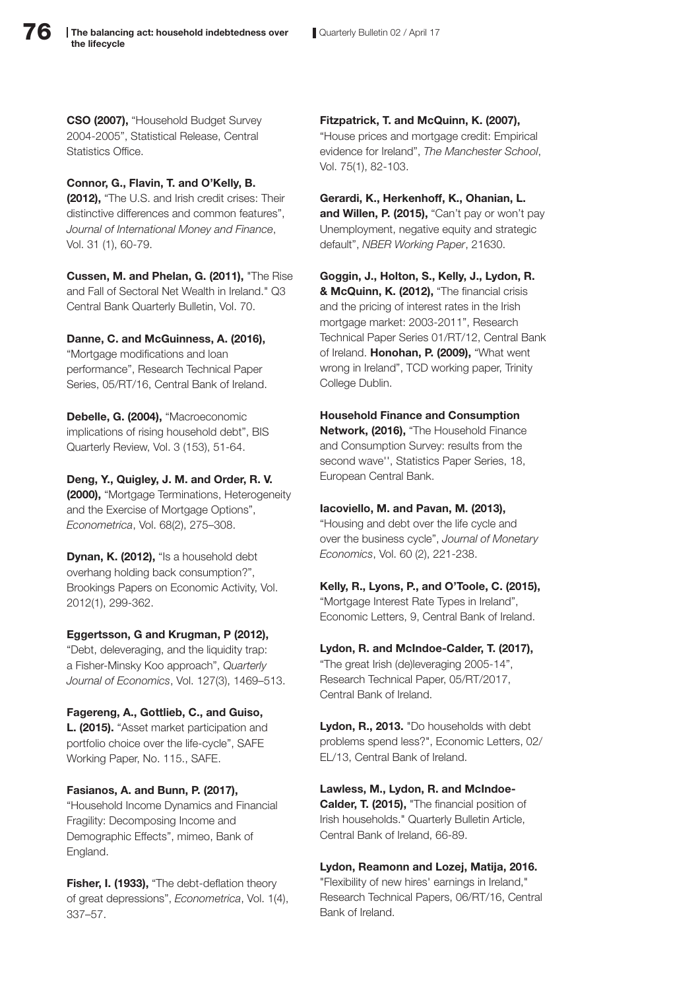CSO (2007), "Household Budget Survey 2004-2005", Statistical Release, Central Statistics Office.

## Connor, G., Flavin, T. and O'Kelly, B.

(2012), "The U.S. and Irish credit crises: Their distinctive differences and common features", *Journal of International Money and Finance*, Vol. 31 (1), 60-79.

Cussen, M. and Phelan, G. (2011), "The Rise and Fall of Sectoral Net Wealth in Ireland." Q3 Central Bank Quarterly Bulletin, Vol. 70.

## Danne, C. and McGuinness, A. (2016),

"Mortgage modifications and loan performance", Research Technical Paper Series, 05/RT/16, Central Bank of Ireland.

Debelle, G. (2004), "Macroeconomic implications of rising household debt", BIS Quarterly Review, Vol. 3 (153), 51-64.

Deng, Y., Quigley, J. M. and Order, R. V. (2000), "Mortgage Terminations, Heterogeneity and the Exercise of Mortgage Options", *Econometrica*, Vol. 68(2), 275–308.

Dynan, K. (2012), "Is a household debt overhang holding back consumption?", Brookings Papers on Economic Activity, Vol. 2012(1), 299-362.

## Eggertsson, G and Krugman, P (2012),

"Debt, deleveraging, and the liquidity trap: a Fisher-Minsky Koo approach", *Quarterly Journal of Economics*, Vol. 127(3), 1469–513.

## Fagereng, A., Gottlieb, C., and Guiso,

L. (2015). "Asset market participation and portfolio choice over the life-cycle", SAFE Working Paper, No. 115., SAFE.

## Fasianos, A. and Bunn, P. (2017),

"Household Income Dynamics and Financial Fragility: Decomposing Income and Demographic Effects", mimeo, Bank of England.

Fisher, I. (1933), "The debt-deflation theory of great depressions", *Econometrica*, Vol. 1(4), 337–57.

Fitzpatrick, T. and McQuinn, K. (2007), "House prices and mortgage credit: Empirical evidence for Ireland", *The Manchester School*, Vol. 75(1), 82-103.

Gerardi, K., Herkenhoff, K., Ohanian, L. and Willen, P. (2015), "Can't pay or won't pay Unemployment, negative equity and strategic default", *NBER Working Paper*, 21630.

Goggin, J., Holton, S., Kelly, J., Lydon, R. & McQuinn, K. (2012), "The financial crisis and the pricing of interest rates in the Irish mortgage market: 2003-2011", Research Technical Paper Series 01/RT/12, Central Bank of Ireland. Honohan, P. (2009), "What went wrong in Ireland", TCD working paper, Trinity College Dublin.

Household Finance and Consumption Network, (2016), "The Household Finance and Consumption Survey: results from the second wave'', Statistics Paper Series, 18,

## Iacoviello, M. and Pavan, M. (2013),

European Central Bank.

"Housing and debt over the life cycle and over the business cycle", *Journal of Monetary Economics*, Vol. 60 (2), 221-238.

Kelly, R., Lyons, P., and O'Toole, C. (2015), "Mortgage Interest Rate Types in Ireland", Economic Letters, 9, Central Bank of Ireland.

Lydon, R. and McIndoe-Calder, T. (2017), "The great Irish (de)leveraging 2005-14", Research Technical Paper, 05/RT/2017, Central Bank of Ireland.

Lydon, R., 2013. "Do households with debt problems spend less?", Economic Letters, 02/ EL/13, Central Bank of Ireland.

Lawless, M., Lydon, R. and McIndoe-Calder, T. (2015), "The financial position of Irish households." Quarterly Bulletin Article, Central Bank of Ireland, 66-89.

Lydon, Reamonn and Lozej, Matija, 2016. "Flexibility of new hires' earnings in Ireland," Research Technical Papers, 06/RT/16, Central Bank of Ireland.